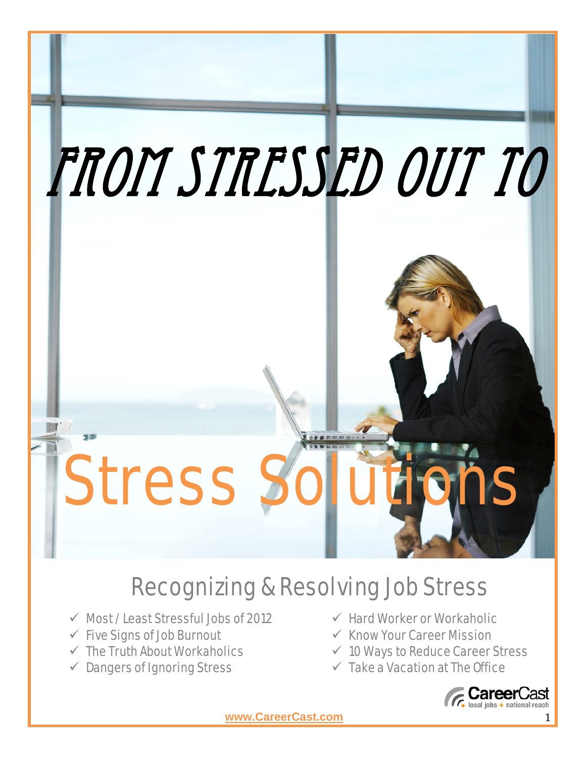

# Recognizing & Resolving Job Stress

- $\checkmark$  Most / Least Stressful Jobs of 2012
- $\checkmark$  Five Signs of Job Burnout
- $\checkmark$  The Truth About Workaholics
- $\checkmark$  Dangers of Ignoring Stress
- $\checkmark$  Hard Worker or Workaholic
- $\checkmark$  Know Your Career Mission
- $\times$  10 Ways to Reduce Career Stress
- $\checkmark$  Take a Vacation at The Office

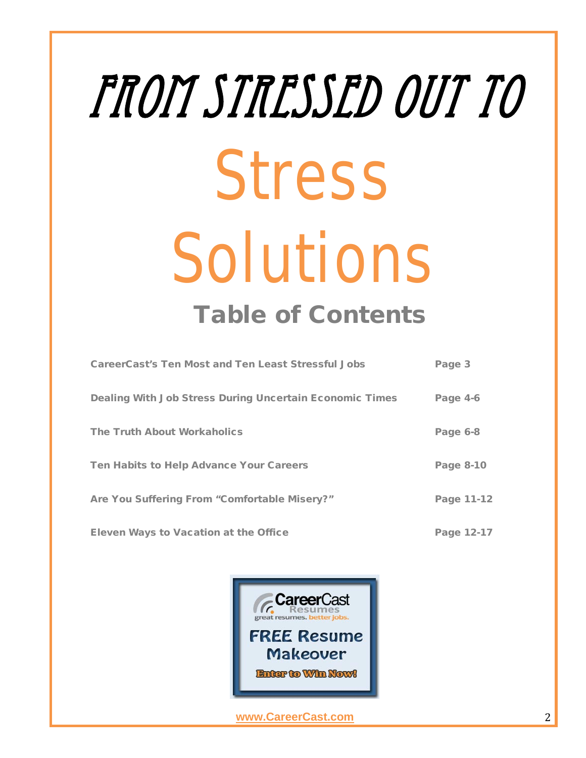# From Stressed Out to Stress Solutions Table of Contents

| <b>CareerCast's Ten Most and Ten Least Stressful Jobs</b> | Page 3     |
|-----------------------------------------------------------|------------|
| Dealing With Job Stress During Uncertain Economic Times   | Page 4-6   |
| <b>The Truth About Workaholics</b>                        | Page 6-8   |
| Ten Habits to Help Advance Your Careers                   | Page 8-10  |
| Are You Suffering From "Comfortable Misery?"              | Page 11-12 |
| <b>Eleven Ways to Vacation at the Office</b>              | Page 12-17 |

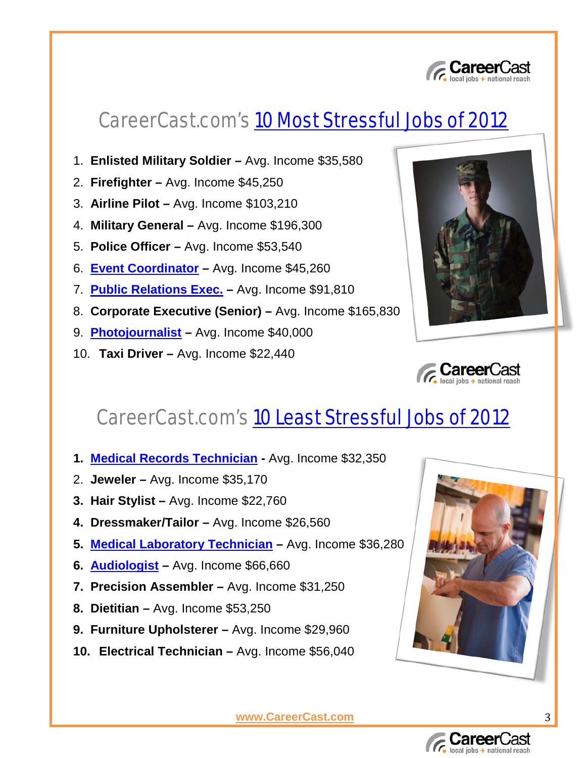

### CareerCast.com's [10 Most Stressful Jobs of 2012](http://www.careercast.com/jobs-rated/10-most-stressful-jobs-2012)

- 1. **Enlisted Military Soldier –** Avg. Income \$35,580
- 2. **Firefighter –** Avg. Income \$45,250
- 3. **Airline Pilot –** Avg. Income \$103,210
- 4. **Military General –** Avg. Income \$196,300
- 5. **Police Officer –** Avg. Income \$53,540
- 6. **[Event Coordinator](http://eventcareers.careers.adicio.com/jobs/search) –** Avg. Income \$45,260
- 7. **[Public Relations Exec.](http://jobs.adweek.com/jobs/search/results?sort=score+desc&view=List_Brief&rows=50) –** Avg. Income \$91,810
- 8. **Corporate Executive (Senior) –** Avg. Income \$165,830
- 9. **[Photojournalist](http://jobs.adweek.com/jobs/search/results?sort=score+desc&view=List_Brief&rows=50) –** Avg. Income \$40,000
- 10. **Taxi Driver –** Avg. Income \$22,440





### CareerCast.com's [10 Least Stressful Jobs of 2012](http://www.careercast.com/jobs-rated/10-least-stressful-jobs-2012)

- **1. [Medical Records Technician](http://imngmedjobs.careers.adicio.com/jobs/search) -** Avg. Income \$32,350
- 2. **Jeweler –** Avg. Income \$35,170
- **3. Hair Stylist –** Avg. Income \$22,760
- **4. Dressmaker/Tailor –** Avg. Income \$26,560
- **5. [Medical Laboratory Technician](http://imngmedjobs.careers.adicio.com/jobs/search) –** Avg. Income \$36,280
- **6. [Audiologist](http://imngmedjobs.careers.adicio.com/jobs/search) –** Avg. Income \$66,660
- **7. Precision Assembler –** Avg. Income \$31,250
- **8. Dietitian –** Avg. Income \$53,250
- **9. Furniture Upholsterer –** Avg. Income \$29,960
- **10. Electrical Technician –** Avg. Income \$56,040



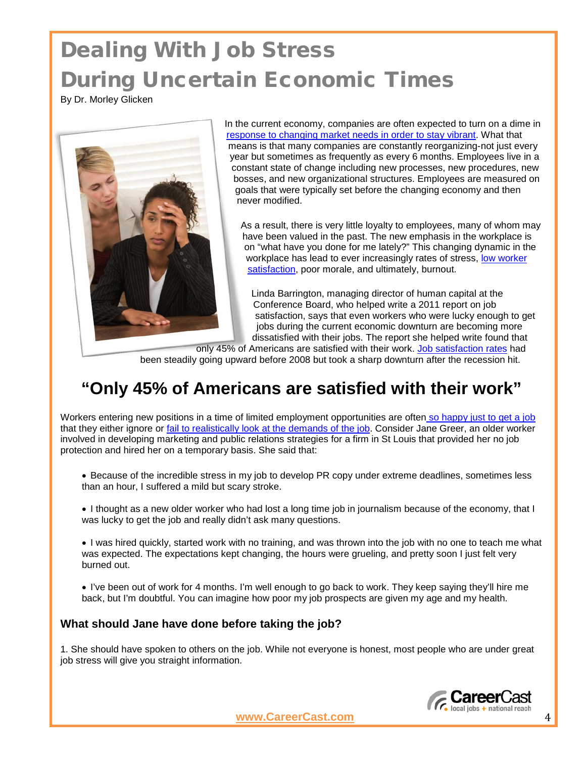# Dealing With Job Stress During Uncertain Economic Times

By Dr. Morley Glicken



In the current economy, companies are often expected to turn on a dime in [response to changing market needs in order to stay vibrant.](http://www.careercast.com/career-news/when-others-are-losing-their-heads-thriving-down-economy) What that means is that many companies are constantly reorganizing-not just every year but sometimes as frequently as every 6 months. Employees live in a constant state of change including new processes, new procedures, new bosses, and new organizational structures. Employees are measured on goals that were typically set before the changing economy and then never modified.

As a result, there is very little loyalty to employees, many of whom may have been valued in the past. The new emphasis in the workplace is on "what have you done for me lately?" This changing dynamic in the workplace has lead to ever increasingly rates of stress, low worker [satisfaction,](http://www.careercast.com/career-news/do-i-stay-my-friends-work-or-take-more-satisfying-job) poor morale, and ultimately, burnout.

Linda Barrington, managing director of human capital at the Conference Board, who helped write a 2011 report on job satisfaction, says that even workers who were lucky enough to get jobs during the current economic downturn are becoming more dissatisfied with their jobs. The report she helped write found that

only 45% of Americans are satisfied with their work. [Job satisfaction rates](http://www.careercast.com/jobs-rated/whistling-while-you-work-10-most-satisfying-careers) had been steadily going upward before 2008 but took a sharp downturn after the recession hit.

### **"Only 45% of Americans are satisfied with their work"**

Workers entering new positions in a time of limited employment opportunities are often [so happy just to get a job](http://www.careercast.com/career-news/when-stepping-down-stepping) that they either ignore or [fail to realistically look at the demands of the job.](http://www.careercast.com/career-news/job-search-perception-vs-reality) Consider Jane Greer, an older worker involved in developing marketing and public relations strategies for a firm in St Louis that provided her no job protection and hired her on a temporary basis. She said that:

• Because of the incredible stress in my job to develop PR copy under extreme deadlines, sometimes less than an hour, I suffered a mild but scary stroke.

• I thought as a new older worker who had lost a long time job in journalism because of the economy, that I was lucky to get the job and really didn't ask many questions.

• I was hired quickly, started work with no training, and was thrown into the job with no one to teach me what was expected. The expectations kept changing, the hours were grueling, and pretty soon I just felt very burned out.

• I've been out of work for 4 months. I'm well enough to go back to work. They keep saying they'll hire me back, but I'm doubtful. You can imagine how poor my job prospects are given my age and my health.

### **What should Jane have done before taking the job?**

1. She should have spoken to others on the job. While not everyone is honest, most people who are under great job stress will give you straight information.

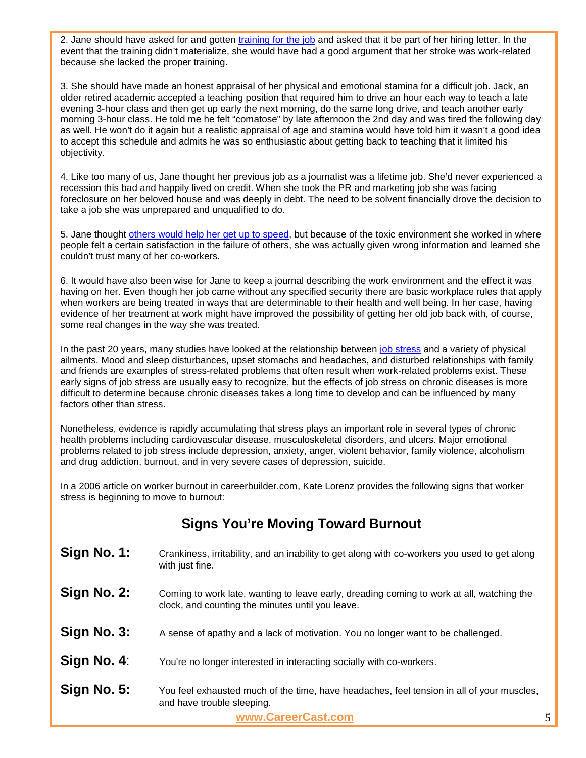2. Jane should have asked for and gotten [training for the job](http://www.careercast.com/career-news/career-training-courses-helpful-tools-or-wastes-time) and asked that it be part of her hiring letter. In the event that the training didn't materialize, she would have had a good argument that her stroke was work-related because she lacked the proper training.

3. She should have made an honest appraisal of her physical and emotional stamina for a difficult job. Jack, an older retired academic accepted a teaching position that required him to drive an hour each way to teach a late evening 3-hour class and then get up early the next morning, do the same long drive, and teach another early morning 3-hour class. He told me he felt "comatose" by late afternoon the 2nd day and was tired the following day as well. He won't do it again but a realistic appraisal of age and stamina would have told him it wasn't a good idea to accept this schedule and admits he was so enthusiastic about getting back to teaching that it limited his objectivity.

4. Like too many of us, Jane thought her previous job as a journalist was a lifetime job. She'd never experienced a recession this bad and happily lived on credit. When she took the PR and marketing job she was facing foreclosure on her beloved house and was deeply in debt. The need to be solvent financially drove the decision to take a job she was unprepared and unqualified to do.

5. Jane thought [others would help her get up to speed,](http://www.careercast.com/career-news/finding-right-professional-mentor) but because of the toxic environment she worked in where people felt a certain satisfaction in the failure of others, she was actually given wrong information and learned she couldn't trust many of her co-workers.

6. It would have also been wise for Jane to keep a journal describing the work environment and the effect it was having on her. Even though her job came without any specified security there are basic workplace rules that apply when workers are being treated in ways that are determinable to their health and well being. In her case, having evidence of her treatment at work might have improved the possibility of getting her old job back with, of course, some real changes in the way she was treated.

In the past 20 years, many studies have looked at the relationship between [job stress](http://www.careercast.com/jobs-rated/10-least-stressful-jobs-2011) and a variety of physical ailments. Mood and sleep disturbances, upset stomachs and headaches, and disturbed relationships with family and friends are examples of stress-related problems that often result when work-related problems exist. These early signs of job stress are usually easy to recognize, but the effects of job stress on chronic diseases is more difficult to determine because chronic diseases takes a long time to develop and can be influenced by many factors other than stress.

Nonetheless, evidence is rapidly accumulating that stress plays an important role in several types of chronic health problems including cardiovascular disease, musculoskeletal disorders, and ulcers. Major emotional problems related to job stress include depression, anxiety, anger, violent behavior, family violence, alcoholism and drug addiction, burnout, and in very severe cases of depression, suicide.

In a 2006 article on worker burnout in careerbuilder.com, Kate Lorenz provides the following signs that worker stress is beginning to move to burnout:

### **Signs You're Moving Toward Burnout**

| Sign No. 1: | Crankiness, irritability, and an inability to get along with co-workers you used to get along<br>with just fine.                              |
|-------------|-----------------------------------------------------------------------------------------------------------------------------------------------|
| Sign No. 2: | Coming to work late, wanting to leave early, dreading coming to work at all, watching the<br>clock, and counting the minutes until you leave. |
| Sign No. 3: | A sense of apathy and a lack of motivation. You no longer want to be challenged.                                                              |
| Sign No. 4: | You're no longer interested in interacting socially with co-workers.                                                                          |
| Sign No. 5: | You feel exhausted much of the time, have headaches, feel tension in all of your muscles,<br>and have trouble sleeping.                       |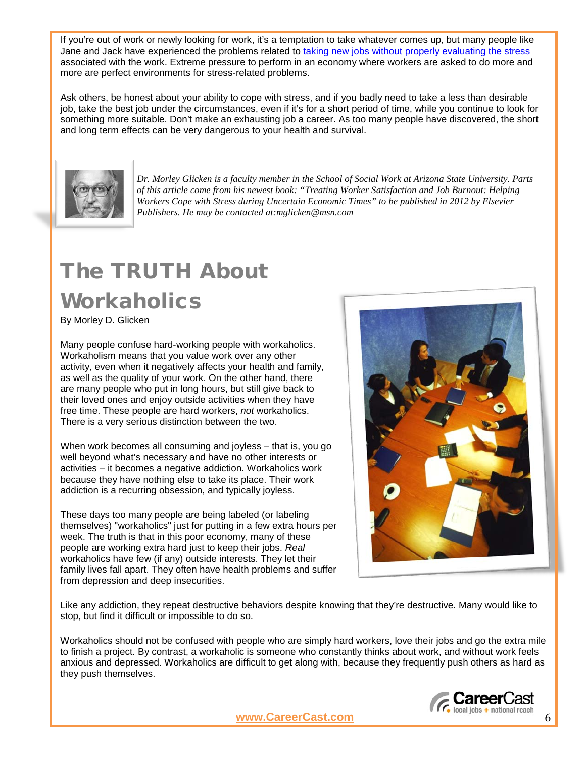If you're out of work or newly looking for work, it's a temptation to take whatever comes up, but many people like Jane and Jack have experienced the problems related to [taking new jobs without properly evaluating the stress](http://www.careercast.com/career-news/job-search-perception-vs-reality) associated with the work. Extreme pressure to perform in an economy where workers are asked to do more and more are perfect environments for stress-related problems.

Ask others, be honest about your ability to cope with stress, and if you badly need to take a less than desirable job, take the best job under the circumstances, even if it's for a short period of time, while you continue to look for something more suitable. Don't make an exhausting job a career. As too many people have discovered, the short and long term effects can be very dangerous to your health and survival.



*Dr. Morley Glicken is a faculty member in the School of Social Work at Arizona State University. Parts of this article come from his newest book: "Treating Worker Satisfaction and Job Burnout: Helping Workers Cope with Stress during Uncertain Economic Times" to be published in 2012 by Elsevier Publishers. He may be contacted at:mglicken@msn.com*

### The TRUTH About **Workaholics**

By Morley D. Glicken

Many people confuse hard-working people with workaholics. Workaholism means that you value work over any other activity, even when it negatively affects your health and family, as well as the quality of your work. On the other hand, there are many people who put in long hours, but still give back to their loved ones and enjoy outside activities when they have free time. These people are hard workers, *not* workaholics. There is a very serious distinction between the two.

When work becomes all consuming and joyless – that is, you go well beyond what's necessary and have no other interests or activities – it becomes a negative addiction. Workaholics work because they have nothing else to take its place. Their work addiction is a recurring obsession, and typically joyless.

These days too many people are being labeled (or labeling themselves) "workaholics" just for putting in a few extra hours per week. The truth is that in this poor economy, many of these people are working extra hard just to keep their jobs. *Real* workaholics have few (if any) outside interests. They let their family lives fall apart. They often have health problems and suffer from depression and deep insecurities.



Like any addiction, they repeat destructive behaviors despite knowing that they're destructive. Many would like to stop, but find it difficult or impossible to do so.

Workaholics should not be confused with people who are simply hard workers, love their jobs and go the extra mile to finish a project. By contrast, a workaholic is someone who constantly thinks about work, and without work feels anxious and depressed. Workaholics are difficult to get along with, because they frequently push others as hard as they push themselves.

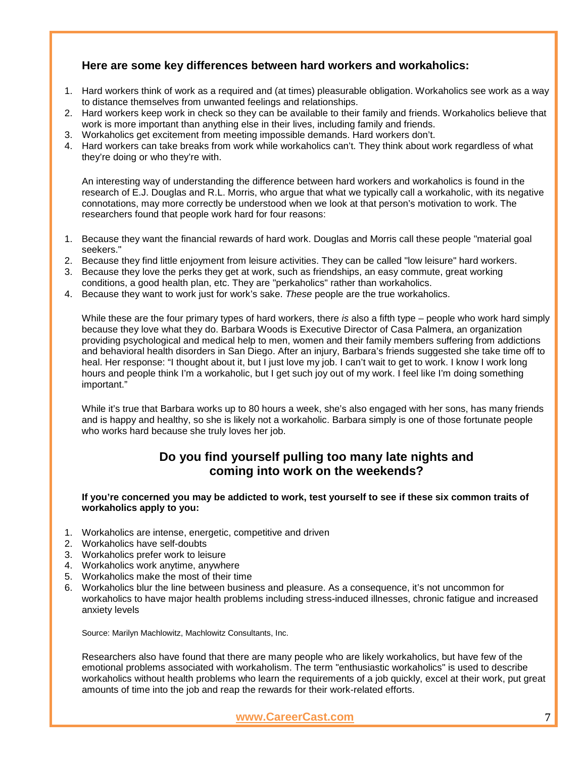### **Here are some key differences between hard workers and workaholics:**

- 1. Hard workers think of work as a required and (at times) pleasurable obligation. Workaholics see work as a way to distance themselves from unwanted feelings and relationships.
- 2. Hard workers keep work in check so they can be available to their family and friends. Workaholics believe that work is more important than anything else in their lives, including family and friends.
- 3. Workaholics get excitement from meeting impossible demands. Hard workers don't.
- 4. Hard workers can take breaks from work while workaholics can't. They think about work regardless of what they're doing or who they're with.

An interesting way of understanding the difference between hard workers and workaholics is found in the research of E.J. Douglas and R.L. Morris, who argue that what we typically call a workaholic, with its negative connotations, may more correctly be understood when we look at that person's motivation to work. The researchers found that people work hard for four reasons:

- 1. Because they want the financial rewards of hard work. Douglas and Morris call these people "material goal seekers."
- 2. Because they find little enjoyment from leisure activities. They can be called "low leisure" hard workers.
- 3. Because they love the perks they get at work, such as friendships, an easy commute, great working conditions, a good health plan, etc. They are "perkaholics" rather than workaholics.
- 4. Because they want to work just for work's sake. *These* people are the true workaholics.

While these are the four primary types of hard workers, there *is* also a fifth type – people who work hard simply because they love what they do. Barbara Woods is Executive Director of Casa Palmera, an organization providing psychological and medical help to men, women and their family members suffering from addictions and behavioral health disorders in San Diego. After an injury, Barbara's friends suggested she take time off to heal. Her response: "I thought about it, but I just love my job. I can't wait to get to work. I know I work long hours and people think I'm a workaholic, but I get such joy out of my work. I feel like I'm doing something important."

While it's true that Barbara works up to 80 hours a week, she's also engaged with her sons, has many friends and is happy and healthy, so she is likely not a workaholic. Barbara simply is one of those fortunate people who works hard because she truly loves her job.

### **Do you find yourself pulling too many late nights and coming into work on the weekends?**

**If you're concerned you may be addicted to work, test yourself to see if these six common traits of workaholics apply to you:**

- 1. Workaholics are intense, energetic, competitive and driven
- 2. Workaholics have self-doubts
- 3. Workaholics prefer work to leisure
- 4. Workaholics work anytime, anywhere
- 5. Workaholics make the most of their time
- 6. Workaholics blur the line between business and pleasure. As a consequence, it's not uncommon for workaholics to have major health problems including stress-induced illnesses, chronic fatigue and increased anxiety levels

Source: Marilyn Machlowitz, Machlowitz Consultants, Inc.

Researchers also have found that there are many people who are likely workaholics, but have few of the emotional problems associated with workaholism. The term "enthusiastic workaholics" is used to describe workaholics without health problems who learn the requirements of a job quickly, excel at their work, put great amounts of time into the job and reap the rewards for their work-related efforts.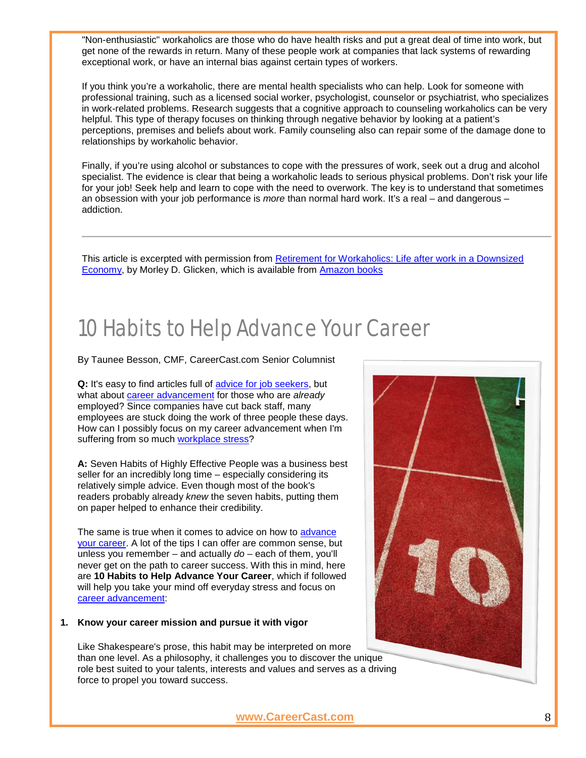"Non-enthusiastic" workaholics are those who do have health risks and put a great deal of time into work, but get none of the rewards in return. Many of these people work at companies that lack systems of rewarding exceptional work, or have an internal bias against certain types of workers.

If you think you're a workaholic, there are mental health specialists who can help. Look for someone with professional training, such as a licensed social worker, psychologist, counselor or psychiatrist, who specializes in work-related problems. Research suggests that a cognitive approach to counseling workaholics can be very helpful. This type of therapy focuses on thinking through negative behavior by looking at a patient's perceptions, premises and beliefs about work. Family counseling also can repair some of the damage done to relationships by workaholic behavior.

Finally, if you're using alcohol or substances to cope with the pressures of work, seek out a drug and alcohol specialist. The evidence is clear that being a workaholic leads to serious physical problems. Don't risk your life for your job! Seek help and learn to cope with the need to overwork. The key is to understand that sometimes an obsession with your job performance is *more* than normal hard work. It's a real – and dangerous – addiction.

This article is excerpted with permission from **Retirement for Workaholics: Life after work in a Downsized** [Economy,](http://www.amazon.com/Retirement-Workaholics-after-Downsized-Economy/dp/031338486X/ref=sr_1_2?s=books&ie=UTF8&qid=1278961671&sr=1-2) by Morley D. Glicken, which is available from [Amazon books](http://www.amazon.com/Retirement-Workaholics-after-Downsized-Economy/dp/031338486X/ref=sr_1_2?s=books&ie=UTF8&qid=1278961671&sr=1-2)

### 10 Habits to Help Advance Your Career

By Taunee Besson, CMF, CareerCast.com Senior Columnist

**Q:** It's easy to find articles full of [advice for job seekers,](http://www.careercast.com/jobs/content/college-graduate-cover-letter-resume-tips-taunee-besson) but what about [career advancement](http://www.careercast.com/jobs/content/improve-job-security-become-career-activist-peter-weddle) for those who are *already* employed? Since companies have cut back staff, many employees are stuck doing the work of three people these days. How can I possibly focus on my career advancement when I'm suffering from so much [workplace stress?](http://www.careercast.com/jobs/content/ten-most-stressful-jobs-2010-jobs-rated-0)

**A:** Seven Habits of Highly Effective People was a business best seller for an incredibly long time – especially considering its relatively simple advice. Even though most of the book's readers probably already *knew* the seven habits, putting them on paper helped to enhance their credibility.

The same is true when it comes to advice on how to advance [your career.](http://www.careercast.com/jobs/content/communicate-better-with-boss-taunee-besson) A lot of the tips I can offer are common sense, but unless you remember – and actually *do* – each of them, you'll never get on the path to career success. With this in mind, here are **10 Habits to Help Advance Your Career**, which if followed will help you take your mind off everyday stress and focus on [career advancement:](http://www.careercast.com/jobs/content/salary-negotiation-getting-counteroffer-blessing-curse)

#### **1. Know your career mission and pursue it with vigor**

Like Shakespeare's prose, this habit may be interpreted on more than one level. As a philosophy, it challenges you to discover the unique role best suited to your talents, interests and values and serves as a driving force to propel you toward success.

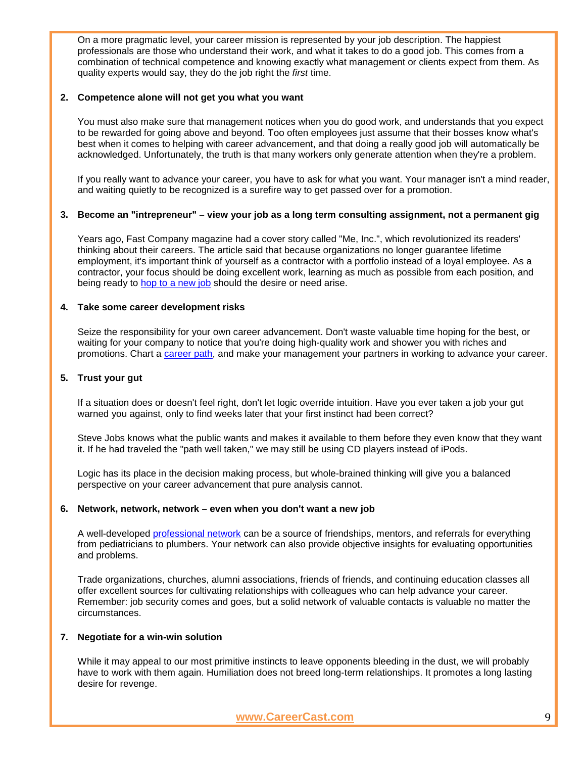On a more pragmatic level, your career mission is represented by your job description. The happiest professionals are those who understand their work, and what it takes to do a good job. This comes from a combination of technical competence and knowing exactly what management or clients expect from them. As quality experts would say, they do the job right the *first* time.

#### **2. Competence alone will not get you what you want**

You must also make sure that management notices when you do good work, and understands that you expect to be rewarded for going above and beyond. Too often employees just assume that their bosses know what's best when it comes to helping with career advancement, and that doing a really good job will automatically be acknowledged. Unfortunately, the truth is that many workers only generate attention when they're a problem.

If you really want to advance your career, you have to ask for what you want. Your manager isn't a mind reader, and waiting quietly to be recognized is a surefire way to get passed over for a promotion.

#### **3. Become an "intrepreneur" – view your job as a long term consulting assignment, not a permanent gig**

Years ago, Fast Company magazine had a cover story called "Me, Inc.", which revolutionized its readers' thinking about their careers. The article said that because organizations no longer guarantee lifetime employment, it's important think of yourself as a contractor with a portfolio instead of a loyal employee. As a contractor, your focus should be doing excellent work, learning as much as possible from each position, and being ready to [hop to a new job](http://www.careercast.com/jobs/content/when-job-hopping-makes-sense-tony-lee) should the desire or need arise.

#### **4. Take some career development risks**

Seize the responsibility for your own career advancement. Don't waste valuable time hoping for the best, or waiting for your company to notice that you're doing high-quality work and shower you with riches and promotions. Chart a [career path,](http://www.careercast.com/jobs/content/climbing-mid-career-mountain-douglas-richardson) and make your management your partners in working to advance your career.

#### **5. Trust your gut**

If a situation does or doesn't feel right, don't let logic override intuition. Have you ever taken a job your gut warned you against, only to find weeks later that your first instinct had been correct?

Steve Jobs knows what the public wants and makes it available to them before they even know that they want it. If he had traveled the "path well taken," we may still be using CD players instead of iPods.

Logic has its place in the decision making process, but whole-brained thinking will give you a balanced perspective on your career advancement that pure analysis cannot.

#### **6. Network, network, network – even when you don't want a new job**

A well-developed [professional network](http://www.careercast.com/jobs/content/secrets-extreme-networker-joe-meissner) can be a source of friendships, mentors, and referrals for everything from pediatricians to plumbers. Your network can also provide objective insights for evaluating opportunities and problems.

Trade organizations, churches, alumni associations, friends of friends, and continuing education classes all offer excellent sources for cultivating relationships with colleagues who can help advance your career. Remember: job security comes and goes, but a solid network of valuable contacts is valuable no matter the circumstances.

#### **7. Negotiate for a win-win solution**

While it may appeal to our most primitive instincts to leave opponents bleeding in the dust, we will probably have to work with them again. Humiliation does not breed long-term relationships. It promotes a long lasting desire for revenge.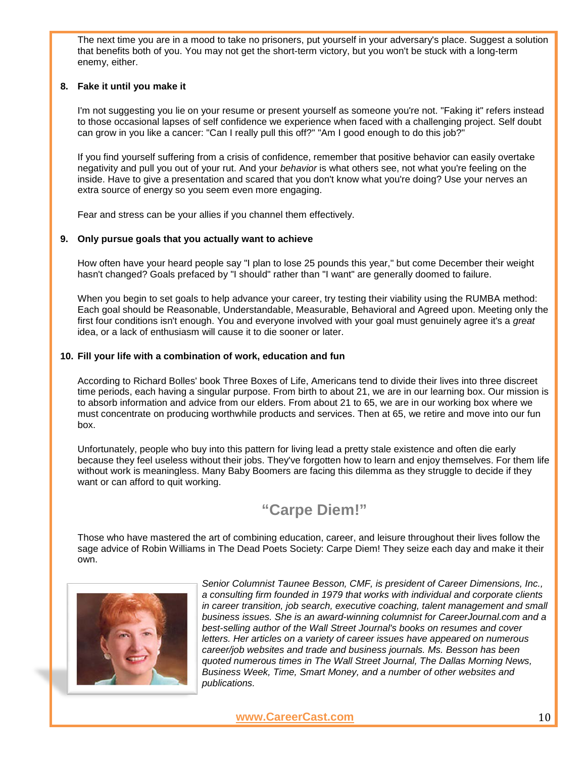The next time you are in a mood to take no prisoners, put yourself in your adversary's place. Suggest a solution that benefits both of you. You may not get the short-term victory, but you won't be stuck with a long-term enemy, either.

#### **8. Fake it until you make it**

I'm not suggesting you lie on your resume or present yourself as someone you're not. "Faking it" refers instead to those occasional lapses of self confidence we experience when faced with a challenging project. Self doubt can grow in you like a cancer: "Can I really pull this off?" "Am I good enough to do this job?"

If you find yourself suffering from a crisis of confidence, remember that positive behavior can easily overtake negativity and pull you out of your rut. And your *behavior* is what others see, not what you're feeling on the inside. Have to give a presentation and scared that you don't know what you're doing? Use your nerves an extra source of energy so you seem even more engaging.

Fear and stress can be your allies if you channel them effectively.

#### **9. Only pursue goals that you actually want to achieve**

How often have your heard people say "I plan to lose 25 pounds this year," but come December their weight hasn't changed? Goals prefaced by "I should" rather than "I want" are generally doomed to failure.

When you begin to set goals to help advance your career, try testing their viability using the RUMBA method: Each goal should be Reasonable, Understandable, Measurable, Behavioral and Agreed upon. Meeting only the first four conditions isn't enough. You and everyone involved with your goal must genuinely agree it's a *great* idea, or a lack of enthusiasm will cause it to die sooner or later.

#### **10. Fill your life with a combination of work, education and fun**

According to Richard Bolles' book Three Boxes of Life, Americans tend to divide their lives into three discreet time periods, each having a singular purpose. From birth to about 21, we are in our learning box. Our mission is to absorb information and advice from our elders. From about 21 to 65, we are in our working box where we must concentrate on producing worthwhile products and services. Then at 65, we retire and move into our fun box.

Unfortunately, people who buy into this pattern for living lead a pretty stale existence and often die early because they feel useless without their jobs. They've forgotten how to learn and enjoy themselves. For them life without work is meaningless. Many Baby Boomers are facing this dilemma as they struggle to decide if they want or can afford to quit working.

### **"Carpe Diem!"**

Those who have mastered the art of combining education, career, and leisure throughout their lives follow the sage advice of Robin Williams in The Dead Poets Society: Carpe Diem! They seize each day and make it their own.



*Senior Columnist Taunee Besson, CMF, is president of Career Dimensions, Inc., a consulting firm founded in 1979 that works with individual and corporate clients in career transition, job search, executive coaching, talent management and small business issues. She is an award-winning columnist for CareerJournal.com and a best-selling author of the Wall Street Journal's books on resumes and cover letters. Her articles on a variety of career issues have appeared on numerous career/job websites and trade and business journals. Ms. Besson has been quoted numerous times in The Wall Street Journal, The Dallas Morning News, Business Week, Time, Smart Money, and a number of other websites and publications.*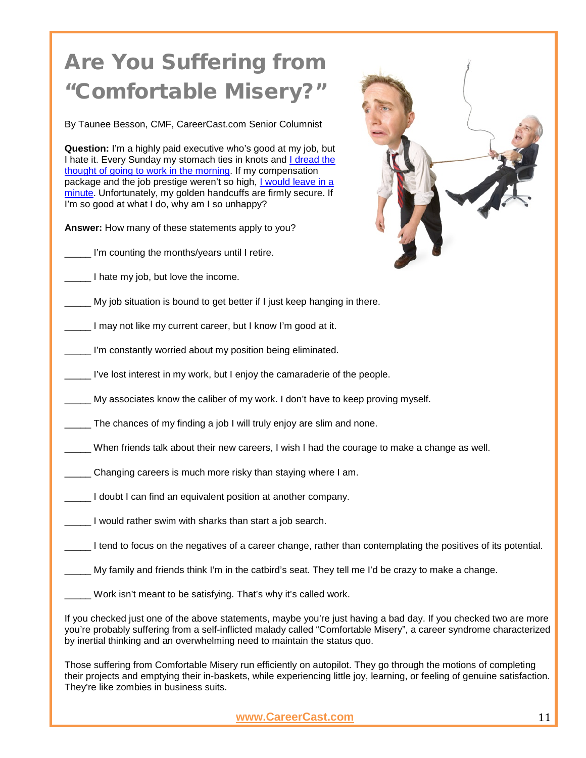# Are You Suffering from "Comfortable Misery?

By Taunee Besson, CMF, CareerCast.com Senior Columnist

**Question:** I'm a highly paid executive who's good at my job, but I hate it. Every Sunday my stomach ties in knots and I dread the [thought of going to work in the morning.](http://www.careercast.com/career-news/are-you-suffering-career-fatigue) If my compensation package and the job prestige weren't so high, [I would leave in a](http://www.careercast.com/career-news/should-you-quit-your-job-go-job-hunting)  [minute.](http://www.careercast.com/career-news/should-you-quit-your-job-go-job-hunting) Unfortunately, my golden handcuffs are firmly secure. If I'm so good at what I do, why am I so unhappy?

**Answer:** How many of these statements apply to you?

**\_\_\_\_\_** I'm counting the months/years until I retire.

\_\_\_\_\_ I hate my job, but love the income.

\_\_\_\_\_ My job situation is bound to get better if I just keep hanging in there.

**\_\_\_\_** I may not like my current career, but I know I'm good at it.

\_\_\_\_\_ I'm constantly worried about my position being eliminated.

\_\_\_\_\_ I've lost interest in my work, but I enjoy the camaraderie of the people.

\_\_\_\_\_ My associates know the caliber of my work. I don't have to keep proving myself.

\_\_\_\_\_ The chances of my finding a job I will truly enjoy are slim and none.

- \_\_\_\_\_ When friends talk about their new careers, I wish I had the courage to make a change as well.
- **\_\_\_\_\_** Changing careers is much more risky than staying where I am.
- \_\_\_\_\_ I doubt I can find an equivalent position at another company.
- \_\_\_\_\_ I would rather swim with sharks than start a job search.

Lend to focus on the negatives of a career change, rather than contemplating the positives of its potential.

\_\_\_\_\_ My family and friends think I'm in the catbird's seat. They tell me I'd be crazy to make a change.

\_\_\_\_\_ Work isn't meant to be satisfying. That's why it's called work.

If you checked just one of the above statements, maybe you're just having a bad day. If you checked two are more you're probably suffering from a self-inflicted malady called "Comfortable Misery", a career syndrome characterized by inertial thinking and an overwhelming need to maintain the status quo.

Those suffering from Comfortable Misery run efficiently on autopilot. They go through the motions of completing their projects and emptying their in-baskets, while experiencing little joy, learning, or feeling of genuine satisfaction. They're like zombies in business suits.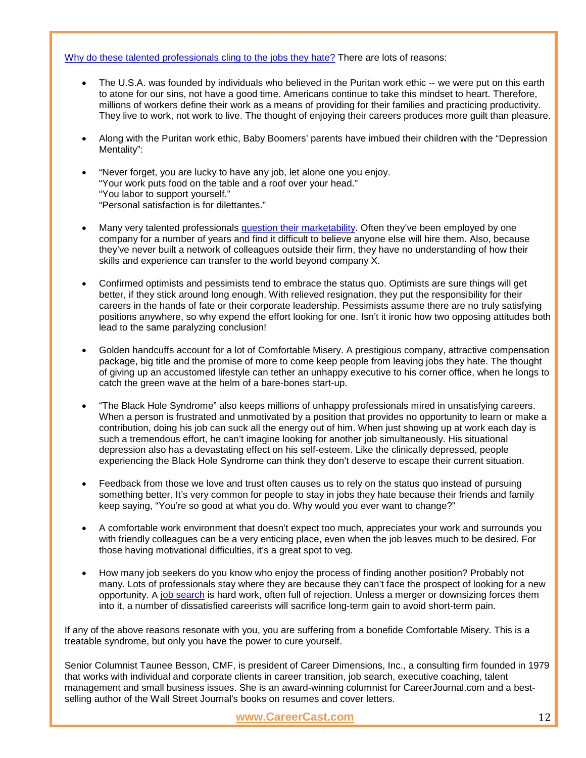#### [Why do these talented professionals cling to the jobs they hate?](http://www.careercast.com/career-news/do-i-stay-my-friends-work-or-take-more-satisfying-job) There are lots of reasons:

- The U.S.A. was founded by individuals who believed in the Puritan work ethic -- we were put on this earth to atone for our sins, not have a good time. Americans continue to take this mindset to heart. Therefore, millions of workers define their work as a means of providing for their families and practicing productivity. They live to work, not work to live. The thought of enjoying their careers produces more guilt than pleasure.
- Along with the Puritan work ethic, Baby Boomers' parents have imbued their children with the "Depression Mentality":
- "Never forget, you are lucky to have any job, let alone one you enjoy. "Your work puts food on the table and a roof over your head." "You labor to support yourself." "Personal satisfaction is for dilettantes."
- Many very talented professionals [question their marketability.](http://www.careercast.com/career-news/career-development-how-get-ahead-without-changing-jobs) Often they've been employed by one company for a number of years and find it difficult to believe anyone else will hire them. Also, because they've never built a network of colleagues outside their firm, they have no understanding of how their skills and experience can transfer to the world beyond company X.
- Confirmed optimists and pessimists tend to embrace the status quo. Optimists are sure things will get better, if they stick around long enough. With relieved resignation, they put the responsibility for their careers in the hands of fate or their corporate leadership. Pessimists assume there are no truly satisfying positions anywhere, so why expend the effort looking for one. Isn't it ironic how two opposing attitudes both lead to the same paralyzing conclusion!
- Golden handcuffs account for a lot of Comfortable Misery. A prestigious company, attractive compensation package, big title and the promise of more to come keep people from leaving jobs they hate. The thought of giving up an accustomed lifestyle can tether an unhappy executive to his corner office, when he longs to catch the green wave at the helm of a bare-bones start-up.
- "The Black Hole Syndrome" also keeps millions of unhappy professionals mired in unsatisfying careers. When a person is frustrated and unmotivated by a position that provides no opportunity to learn or make a contribution, doing his job can suck all the energy out of him. When just showing up at work each day is such a tremendous effort, he can't imagine looking for another job simultaneously. His situational depression also has a devastating effect on his self-esteem. Like the clinically depressed, people experiencing the Black Hole Syndrome can think they don't deserve to escape their current situation.
- Feedback from those we love and trust often causes us to rely on the status quo instead of pursuing something better. It's very common for people to stay in jobs they hate because their friends and family keep saying, "You're so good at what you do. Why would you ever want to change?"
- A comfortable work environment that doesn't expect too much, appreciates your work and surrounds you with friendly colleagues can be a very enticing place, even when the job leaves much to be desired. For those having motivational difficulties, it's a great spot to veg.
- How many job seekers do you know who enjoy the process of finding another position? Probably not many. Lots of professionals stay where they are because they can't face the prospect of looking for a new opportunity. A [job search](http://www.careercast.com/careers/jobsearch?searchType=quick&clientid=careercast) is hard work, often full of rejection. Unless a merger or downsizing forces them into it, a number of dissatisfied careerists will sacrifice long-term gain to avoid short-term pain.

If any of the above reasons resonate with you, you are suffering from a bonefide Comfortable Misery. This is a treatable syndrome, but only you have the power to cure yourself.

Senior Columnist Taunee Besson, CMF, is president of Career Dimensions, Inc., a consulting firm founded in 1979 that works with individual and corporate clients in career transition, job search, executive coaching, talent management and small business issues. She is an award-winning columnist for CareerJournal.com and a bestselling author of the Wall Street Journal's books on resumes and cover letters.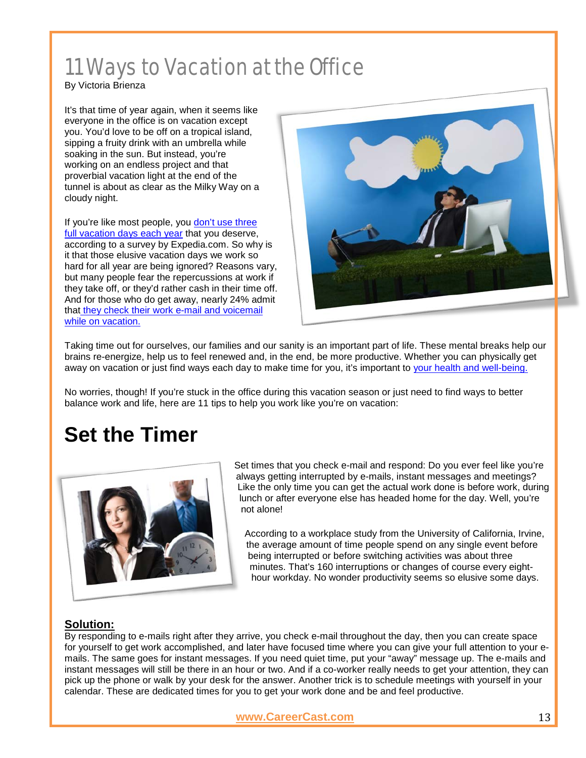### 11 Ways to Vacation at the Office

#### By Victoria Brienza

It's that time of year again, when it seems like everyone in the office is on vacation except you. You'd love to be off on a tropical island, sipping a fruity drink with an umbrella while soaking in the sun. But instead, you're working on an endless project and that proverbial vacation light at the end of the tunnel is about as clear as the Milky Way on a cloudy night.

If you're like most people, you don't use three [full vacation days each year](http://www.careercast.com/career-news/work-better-try-working-less) that you deserve, according to a survey by Expedia.com. So why is it that those elusive vacation days we work so hard for all year are being ignored? Reasons vary, but many people fear the repercussions at work if they take off, or they'd rather cash in their time off. And for those who do get away, nearly 24% admit that [they check their work e-mail and voicemail](http://www.careercast.com/career-news/work-hard-play-hard-how-unplug-vacation)  [while on vacation.](http://www.careercast.com/career-news/work-hard-play-hard-how-unplug-vacation)



Taking time out for ourselves, our families and our sanity is an important part of life. These mental breaks help our brains re-energize, help us to feel renewed and, in the end, be more productive. Whether you can physically get away on vacation or just find ways each day to make time for you, it's important to [your health and well-being.](http://www.careercast.com/career-news/food-group-theory-work-life-balance)

No worries, though! If you're stuck in the office during this vacation season or just need to find ways to better balance work and life, here are 11 tips to help you work like you're on vacation:

### **Set the Timer**



Set times that you check e-mail and respond: Do you ever feel like you're always getting interrupted by e-mails, instant messages and meetings? Like the only time you can get the actual work done is before work, during lunch or after everyone else has headed home for the day. Well, you're not alone!

According to a workplace study from the University of California, Irvine, the average amount of time people spend on any single event before being interrupted or before switching activities was about three minutes. That's 160 interruptions or changes of course every eighthour workday. No wonder productivity seems so elusive some days.

### **Solution:**

By responding to e-mails right after they arrive, you check e-mail throughout the day, then you can create space for yourself to get work accomplished, and later have focused time where you can give your full attention to your emails. The same goes for instant messages. If you need quiet time, put your "away" message up. The e-mails and instant messages will still be there in an hour or two. And if a co-worker really needs to get your attention, they can pick up the phone or walk by your desk for the answer. Another trick is to schedule meetings with yourself in your calendar. These are dedicated times for you to get your work done and be and feel productive.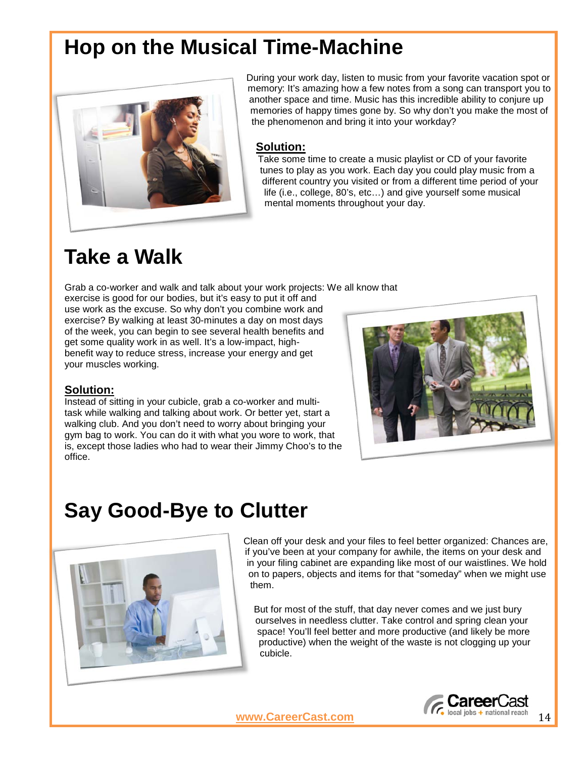### **Hop on the Musical Time-Machine**



During your work day, listen to music from your favorite vacation spot or memory: It's amazing how a few notes from a song can transport you to another space and time. Music has this incredible ability to conjure up memories of happy times gone by. So why don't you make the most of the phenomenon and bring it into your workday?

#### **Solution:**

Take some time to create a music playlist or CD of your favorite tunes to play as you work. Each day you could play music from a different country you visited or from a different time period of your life (i.e., college, 80's, etc…) and give yourself some musical mental moments throughout your day.

### **Take a Walk**

Grab a co-worker and walk and talk about your work projects: We all know that

exercise is good for our bodies, but it's easy to put it off and use work as the excuse. So why don't you combine work and exercise? By walking at least 30-minutes a day on most days of the week, you can begin to see several health benefits and get some quality work in as well. It's a low-impact, highbenefit way to reduce stress, increase your energy and get your muscles working.

### **Solution:**

Instead of sitting in your cubicle, grab a co-worker and multitask while walking and talking about work. Or better yet, start a walking club. And you don't need to worry about bringing your gym bag to work. You can do it with what you wore to work, that is, except those ladies who had to wear their Jimmy Choo's to the office.



### **Say Good-Bye to Clutter**



Clean off your desk and your files to feel better organized: Chances are, if you've been at your company for awhile, the items on your desk and in your filing cabinet are expanding like most of our waistlines. We hold on to papers, objects and items for that "someday" when we might use them.

But for most of the stuff, that day never comes and we just bury ourselves in needless clutter. Take control and spring clean your space! You'll feel better and more productive (and likely be more productive) when the weight of the waste is not clogging up your cubicle.

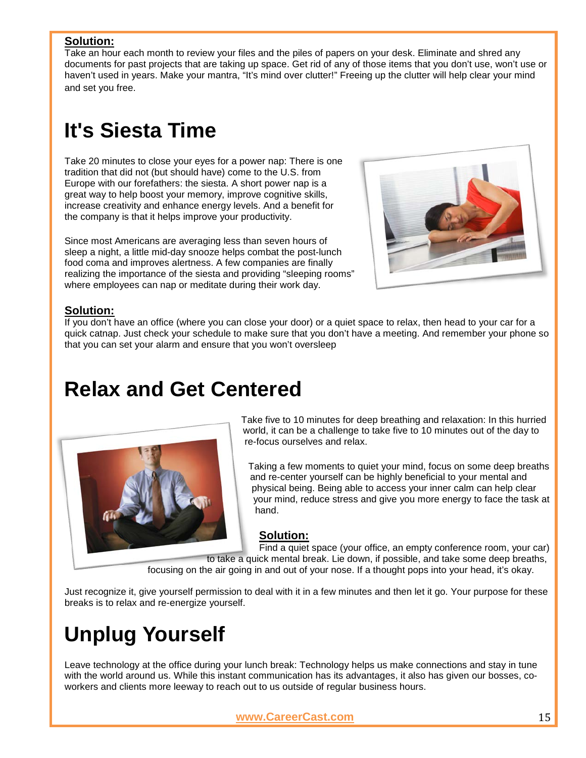#### **Solution:**

Take an hour each month to review your files and the piles of papers on your desk. Eliminate and shred any documents for past projects that are taking up space. Get rid of any of those items that you don't use, won't use or haven't used in years. Make your mantra, "It's mind over clutter!" Freeing up the clutter will help clear your mind and set you free.

### **It's Siesta Time**

Take 20 minutes to close your eyes for a power nap: There is one tradition that did not (but should have) come to the U.S. from Europe with our forefathers: the siesta. A short power nap is a great way to help boost your memory, improve cognitive skills, increase creativity and enhance energy levels. And a benefit for the company is that it helps improve your productivity.

Since most Americans are averaging less than seven hours of sleep a night, a little mid-day snooze helps combat the post-lunch food coma and improves alertness. A few companies are finally realizing the importance of the siesta and providing "sleeping rooms" where employees can nap or meditate during their work day.



#### **Solution:**

If you don't have an office (where you can close your door) or a quiet space to relax, then head to your car for a quick catnap. Just check your schedule to make sure that you don't have a meeting. And remember your phone so that you can set your alarm and ensure that you won't oversleep

### **Relax and Get Centered**



Take five to 10 minutes for deep breathing and relaxation: In this hurried world, it can be a challenge to take five to 10 minutes out of the day to re-focus ourselves and relax.

Taking a few moments to quiet your mind, focus on some deep breaths and re-center yourself can be highly beneficial to your mental and physical being. Being able to access your inner calm can help clear your mind, reduce stress and give you more energy to face the task at hand.

### **Solution:**

Find a quiet space (your office, an empty conference room, your car) to take a quick mental break. Lie down, if possible, and take some deep breaths,

focusing on the air going in and out of your nose. If a thought pops into your head, it's okay.

Just recognize it, give yourself permission to deal with it in a few minutes and then let it go. Your purpose for these breaks is to relax and re-energize yourself.

## **Unplug Yourself**

Leave technology at the office during your lunch break: Technology helps us make connections and stay in tune with the world around us. While this instant communication has its advantages, it also has given our bosses, coworkers and clients more leeway to reach out to us outside of regular business hours.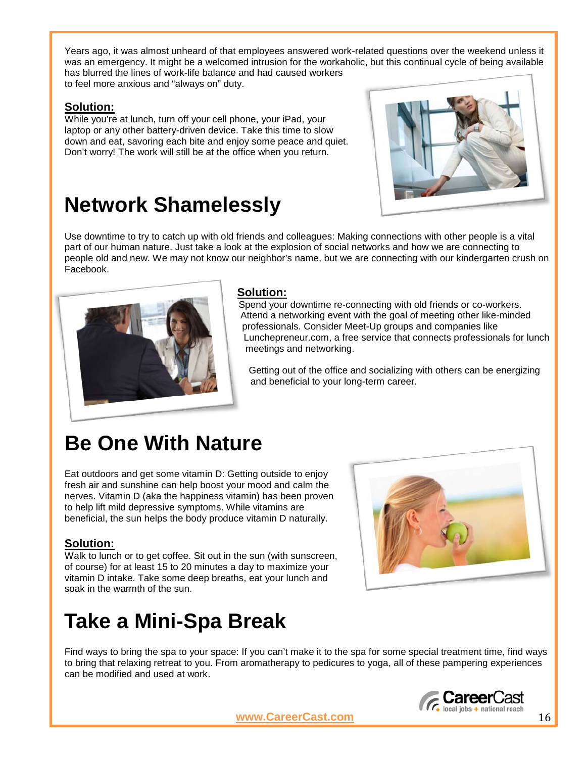Years ago, it was almost unheard of that employees answered work-related questions over the weekend unless it was an emergency. It might be a welcomed intrusion for the workaholic, but this continual cycle of being available has blurred the lines of work-life balance and had caused workers to feel more anxious and "always on" duty.

#### **Solution:**

While you're at lunch, turn off your cell phone, your iPad, your laptop or any other battery-driven device. Take this time to slow down and eat, savoring each bite and enjoy some peace and quiet. Don't worry! The work will still be at the office when you return.

### **Network Shamelessly**



Use downtime to try to catch up with old friends and colleagues: Making connections with other people is a vital part of our human nature. Just take a look at the explosion of social networks and how we are connecting to people old and new. We may not know our neighbor's name, but we are connecting with our kindergarten crush on Facebook.



### **Solution:**

Spend your downtime re-connecting with old friends or co-workers. Attend a networking event with the goal of meeting other like-minded professionals. Consider Meet-Up groups and companies like Lunchepreneur.com, a free service that connects professionals for lunch meetings and networking.

Getting out of the office and socializing with others can be energizing and beneficial to your long-term career.

### **Be One With Nature**

Eat outdoors and get some vitamin D: Getting outside to enjoy fresh air and sunshine can help boost your mood and calm the nerves. Vitamin D (aka the happiness vitamin) has been proven to help lift mild depressive symptoms. While vitamins are beneficial, the sun helps the body produce vitamin D naturally.

### **Solution:**

Walk to lunch or to get coffee. Sit out in the sun (with sunscreen, of course) for at least 15 to 20 minutes a day to maximize your vitamin D intake. Take some deep breaths, eat your lunch and soak in the warmth of the sun.



### **Take a Mini-Spa Break**

Find ways to bring the spa to your space: If you can't make it to the spa for some special treatment time, find ways to bring that relaxing retreat to you. From aromatherapy to pedicures to yoga, all of these pampering experiences can be modified and used at work.